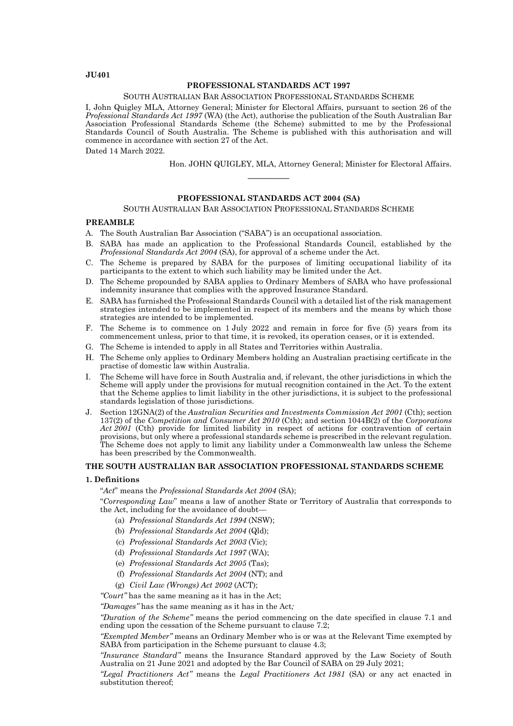# **JU401**

## **PROFESSIONAL STANDARDS ACT 1997**

#### SOUTH AUSTRALIAN BAR ASSOCIATION PROFESSIONAL STANDARDS SCHEME

I, John Quigley MLA, Attorney General; Minister for Electoral Affairs, pursuant to section 26 of the *Professional Standards Act 1997* (WA) (the Act), authorise the publication of the South Australian Bar Association Professional Standards Scheme (the Scheme) submitted to me by the Professional Standards Council of South Australia. The Scheme is published with this authorisation and will commence in accordance with section 27 of the Act.

Dated 14 March 2022.

Hon. JOHN QUIGLEY, MLA, Attorney General; Minister for Electoral Affairs.

## **PROFESSIONAL STANDARDS ACT 2004 (SA)**

————

### SOUTH AUSTRALIAN BAR ASSOCIATION PROFESSIONAL STANDARDS SCHEME

#### **PREAMBLE**

- A. The South Australian Bar Association ("SABA") is an occupational association.
- B. SABA has made an application to the Professional Standards Council, established by the *Professional Standards Act 2004* (SA), for approval of a scheme under the Act.
- C. The Scheme is prepared by SABA for the purposes of limiting occupational liability of its participants to the extent to which such liability may be limited under the Act.
- D. The Scheme propounded by SABA applies to Ordinary Members of SABA who have professional indemnity insurance that complies with the approved Insurance Standard.
- E. SABA has furnished the Professional Standards Council with a detailed list of the risk management strategies intended to be implemented in respect of its members and the means by which those strategies are intended to be implemented.
- F. The Scheme is to commence on 1 July 2022 and remain in force for five (5) years from its commencement unless, prior to that time, it is revoked, its operation ceases, or it is extended.
- G. The Scheme is intended to apply in all States and Territories within Australia.
- H. The Scheme only applies to Ordinary Members holding an Australian practising certificate in the practise of domestic law within Australia.
- I. The Scheme will have force in South Australia and, if relevant, the other jurisdictions in which the Scheme will apply under the provisions for mutual recognition contained in the Act. To the extent that the Scheme applies to limit liability in the other jurisdictions, it is subject to the professional standards legislation of those jurisdictions.
- J. Section 12GNA(2) of the *Australian Securities and Investments Commission Act 2001* (Cth); section 137(2) of the *Competition and Consumer Act 2010* (Cth); and section 1044B(2) of the *Corporations Act 2001* (Cth) provide for limited liability in respect of actions for contravention of certain provisions, but only where a professional standards scheme is prescribed in the relevant regulation. The Scheme does not apply to limit any liability under a Commonwealth law unless the Scheme has been prescribed by the Commonwealth.

# **THE SOUTH AUSTRALIAN BAR ASSOCIATION PROFESSIONAL STANDARDS SCHEME**

### **1. Definitions**

"*Act*" means the *Professional Standards Act 2004* (SA);

"*Corresponding Law*" means a law of another State or Territory of Australia that corresponds to the Act, including for the avoidance of doubt—

- (a) *Professional Standards Act 1994* (NSW);
- (b) *Professional Standards Act 2004* (Qld);
- (c) *Professional Standards Act 2003* (Vic);
- (d) *Professional Standards Act 1997* (WA);
- (e) *Professional Standards Act 2005* (Tas);
- (f) *Professional Standards Act 2004* (NT); and
- (g) *Civil Law (Wrongs) Act 2002* (ACT);

*"Court"* has the same meaning as it has in the Act;

*"Damages"* has the same meaning as it has in the Act*;*

*"Duration of the Scheme"* means the period commencing on the date specified in clause 7.1 and ending upon the cessation of the Scheme pursuant to clause 7.2;

*"Exempted Member"* means an Ordinary Member who is or was at the Relevant Time exempted by SABA from participation in the Scheme pursuant to clause 4.3;

*"Insurance Standard"* means the Insurance Standard approved by the Law Society of South Australia on 21 June 2021 and adopted by the Bar Council of SABA on 29 July 2021;

*"Legal Practitioners Act"* means the *Legal Practitioners Act 1981* (SA) or any act enacted in substitution thereof;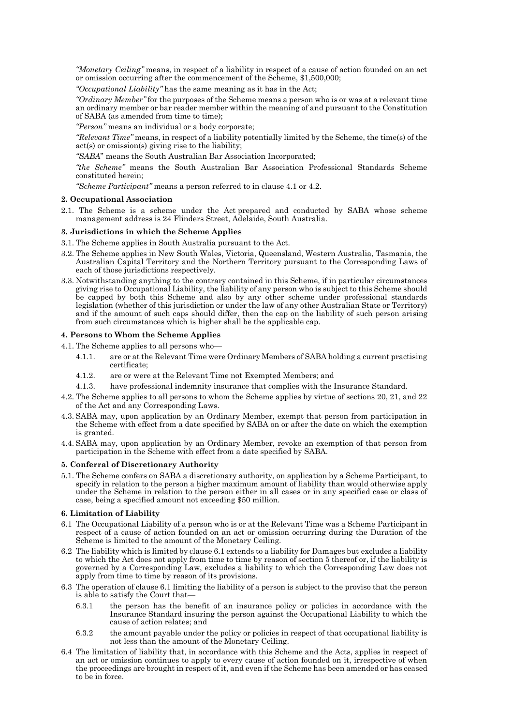*"Monetary Ceiling"* means, in respect of a liability in respect of a cause of action founded on an act or omission occurring after the commencement of the Scheme, \$1,500,000;

*"Occupational Liability"* has the same meaning as it has in the Act;

*"Ordinary Member"* for the purposes of the Scheme means a person who is or was at a relevant time an ordinary member or bar reader member within the meaning of and pursuant to the Constitution of SABA (as amended from time to time);

*"Person"* means an individual or a body corporate;

*"Relevant Time"* means, in respect of a liability potentially limited by the Scheme, the time(s) of the act(s) or omission(s) giving rise to the liability;

*"SABA*" means the South Australian Bar Association Incorporated;

*"the Scheme"* means the South Australian Bar Association Professional Standards Scheme constituted herein;

*"Scheme Participant"* means a person referred to in clause 4.1 or 4.2.

### **2. Occupational Association**

2.1. The Scheme is a scheme under the Act prepared and conducted by SABA whose scheme management address is 24 Flinders Street, Adelaide, South Australia.

### **3. Jurisdictions in which the Scheme Applies**

- 3.1. The Scheme applies in South Australia pursuant to the Act.
- 3.2. The Scheme applies in New South Wales, Victoria, Queensland, Western Australia, Tasmania, the Australian Capital Territory and the Northern Territory pursuant to the Corresponding Laws of each of those jurisdictions respectively.
- 3.3. Notwithstanding anything to the contrary contained in this Scheme, if in particular circumstances giving rise to Occupational Liability, the liability of any person who is subject to this Scheme should be capped by both this Scheme and also by any other scheme under professional standards legislation (whether of this jurisdiction or under the law of any other Australian State or Territory) and if the amount of such caps should differ, then the cap on the liability of such person arising from such circumstances which is higher shall be the applicable cap.

### **4. Persons to Whom the Scheme Applies**

4.1. The Scheme applies to all persons who—

- 4.1.1. are or at the Relevant Time were Ordinary Members of SABA holding a current practising certificate;
- 4.1.2. are or were at the Relevant Time not Exempted Members; and
- 4.1.3. have professional indemnity insurance that complies with the Insurance Standard.
- 4.2. The Scheme applies to all persons to whom the Scheme applies by virtue of sections 20, 21, and 22 of the Act and any Corresponding Laws.
- 4.3. SABA may, upon application by an Ordinary Member, exempt that person from participation in the Scheme with effect from a date specified by SABA on or after the date on which the exemption is granted.
- 4.4. SABA may, upon application by an Ordinary Member, revoke an exemption of that person from participation in the Scheme with effect from a date specified by SABA.

# **5. Conferral of Discretionary Authority**

5.1. The Scheme confers on SABA a discretionary authority, on application by a Scheme Participant, to specify in relation to the person a higher maximum amount of liability than would otherwise apply under the Scheme in relation to the person either in all cases or in any specified case or class of case, being a specified amount not exceeding \$50 million.

# **6. Limitation of Liability**

- 6.1 The Occupational Liability of a person who is or at the Relevant Time was a Scheme Participant in respect of a cause of action founded on an act or omission occurring during the Duration of the Scheme is limited to the amount of the Monetary Ceiling.
- 6.2 The liability which is limited by clause 6.1 extends to a liability for Damages but excludes a liability to which the Act does not apply from time to time by reason of section 5 thereof or, if the liability is governed by a Corresponding Law, excludes a liability to which the Corresponding Law does not apply from time to time by reason of its provisions.
- 6.3 The operation of clause 6.1 limiting the liability of a person is subject to the proviso that the person is able to satisfy the Court that—
	- 6.3.1 the person has the benefit of an insurance policy or policies in accordance with the Insurance Standard insuring the person against the Occupational Liability to which the cause of action relates; and
	- 6.3.2 the amount payable under the policy or policies in respect of that occupational liability is not less than the amount of the Monetary Ceiling.
- 6.4 The limitation of liability that, in accordance with this Scheme and the Acts, applies in respect of an act or omission continues to apply to every cause of action founded on it, irrespective of when the proceedings are brought in respect of it, and even if the Scheme has been amended or has ceased to be in force.